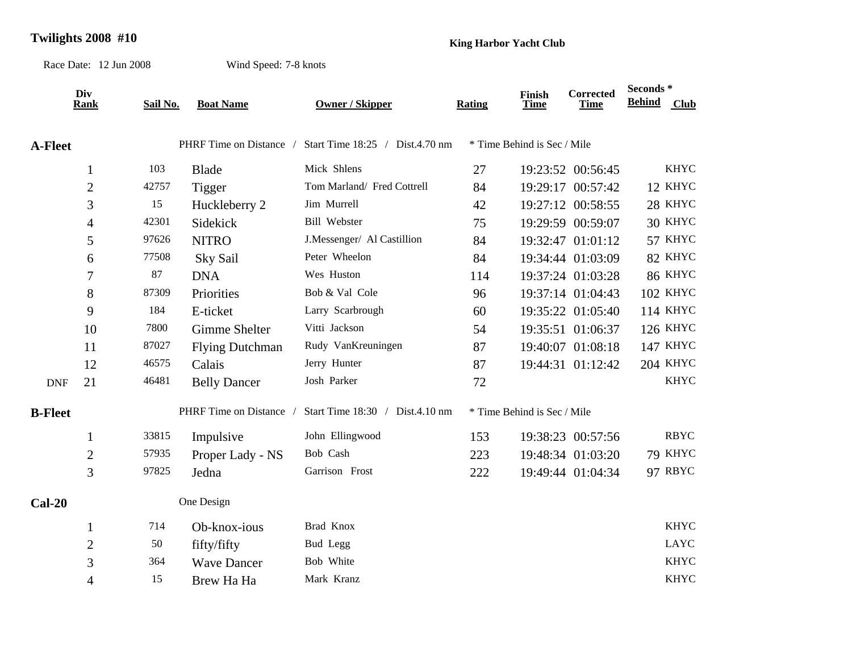## **Twilights 2008 #10 King Harbor Yacht Club**

Race Date: 12 Jun 2008

Wind Speed: 7-8 knots

|                | Div<br><b>Rank</b> | Sail No. | <b>Boat Name</b>        | <b>Owner / Skipper</b>          | Rating | <b>Finish</b><br>Time       | Corrected<br><b>Time</b> | Seconds*<br><b>Behind</b> | Club            |
|----------------|--------------------|----------|-------------------------|---------------------------------|--------|-----------------------------|--------------------------|---------------------------|-----------------|
| <b>A-Fleet</b> |                    |          | PHRF Time on Distance / | Start Time 18:25 / Dist.4.70 nm |        | * Time Behind is Sec / Mile |                          |                           |                 |
|                | $\mathbf{1}$       | 103      | <b>Blade</b>            | Mick Shlens                     | 27     |                             | 19:23:52 00:56:45        |                           | <b>KHYC</b>     |
|                | $\mathfrak{2}$     | 42757    | Tigger                  | Tom Marland/ Fred Cottrell      | 84     |                             | 19:29:17 00:57:42        |                           | 12 KHYC         |
|                | 3                  | 15       | Huckleberry 2           | Jim Murrell                     | 42     |                             | 19:27:12 00:58:55        |                           | 28 KHYC         |
|                | 4                  | 42301    | Sidekick                | Bill Webster                    | 75     |                             | 19:29:59 00:59:07        |                           | 30 KHYC         |
|                | 5                  | 97626    | <b>NITRO</b>            | J.Messenger/ Al Castillion      | 84     |                             | 19:32:47 01:01:12        |                           | 57 KHYC         |
|                | 6                  | 77508    | Sky Sail                | Peter Wheelon                   | 84     |                             | 19:34:44 01:03:09        |                           | 82 KHYC         |
|                | 7                  | 87       | <b>DNA</b>              | Wes Huston                      | 114    |                             | 19:37:24 01:03:28        |                           | 86 KHYC         |
|                | 8                  | 87309    | Priorities              | Bob & Val Cole                  | 96     |                             | 19:37:14 01:04:43        |                           | 102 KHYC        |
|                | 9                  | 184      | E-ticket                | Larry Scarbrough                | 60     |                             | 19:35:22 01:05:40        |                           | 114 KHYC        |
|                | 10                 | 7800     | Gimme Shelter           | Vitti Jackson                   | 54     |                             | 19:35:51 01:06:37        |                           | <b>126 KHYC</b> |
|                | 11                 | 87027    | <b>Flying Dutchman</b>  | Rudy VanKreuningen              | 87     |                             | 19:40:07 01:08:18        |                           | 147 KHYC        |
|                | 12                 | 46575    | Calais                  | Jerry Hunter                    | 87     |                             | 19:44:31 01:12:42        |                           | <b>204 KHYC</b> |
| <b>DNF</b>     | 21                 | 46481    | <b>Belly Dancer</b>     | Josh Parker                     | 72     |                             |                          |                           | <b>KHYC</b>     |
| <b>B-Fleet</b> |                    |          | PHRF Time on Distance / | Start Time 18:30 / Dist.4.10 nm |        | * Time Behind is Sec / Mile |                          |                           |                 |
|                | $\mathbf{1}$       | 33815    | Impulsive               | John Ellingwood                 | 153    |                             | 19:38:23 00:57:56        |                           | <b>RBYC</b>     |
|                | $\overline{2}$     | 57935    | Proper Lady - NS        | Bob Cash                        | 223    |                             | 19:48:34 01:03:20        |                           | 79 KHYC         |
|                | 3                  | 97825    | Jedna                   | Garrison Frost                  | 222    |                             | 19:49:44 01:04:34        |                           | 97 RBYC         |
| $Cal-20$       |                    |          | One Design              |                                 |        |                             |                          |                           |                 |
|                | $\mathbf{1}$       | 714      | Ob-knox-ious            | Brad Knox                       |        |                             |                          |                           | <b>KHYC</b>     |
|                | $\overline{2}$     | 50       | fifty/fifty             | Bud Legg                        |        |                             |                          |                           | <b>LAYC</b>     |
|                | 3                  | 364      | <b>Wave Dancer</b>      | Bob White                       |        |                             |                          |                           | <b>KHYC</b>     |
|                | 4                  | 15       | Brew Ha Ha              | Mark Kranz                      |        |                             |                          |                           | <b>KHYC</b>     |